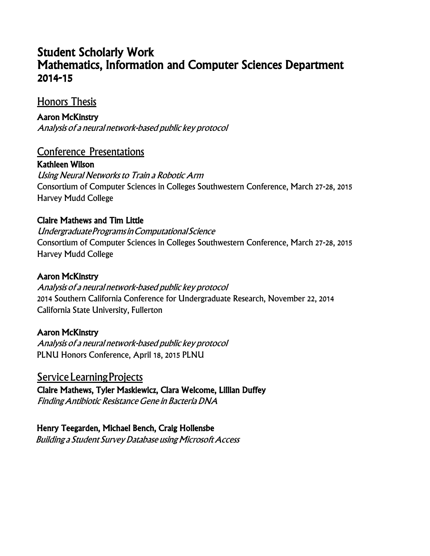# Student Scholarly Work Mathematics, Information and Computer Sciences Department 2014-15

## Honors Thesis

Aaron McKinstry Analysis of <sup>a</sup> neural network-based public key protocol

## Conference Presentations

Kathleen Wilson Using Neural Networks to Train <sup>a</sup> Robotic Arm Consortium of Computer Sciences in Colleges Southwestern Conference, March 27-28, 2015 Harvey Mudd College

#### Claire Mathews and Tim Little

UndergraduateProgramsinComputationalScience Consortium of Computer Sciences in Colleges Southwestern Conference, March 27-28, 2015 Harvey Mudd College

#### Aaron McKinstry

Analysis of <sup>a</sup> neural network-based public key protocol 2014 Southern California Conference for Undergraduate Research, November 22, 2014 California State University, Fullerton

### Aaron McKinstry

Analysis of <sup>a</sup> neural network-based public key protocol PLNU Honors Conference, April 18, 2015 PLNU

Service Learning Projects Claire Mathews, Tyler Maskiewicz, Clara Welcome, Lillian Duffey FindingAntibiotic ResistanceGene in BacteriaDNA

 Henry Teegarden, Michael Bench, Craig Hollensbe Building a Student Survey Database using Microsoft Access